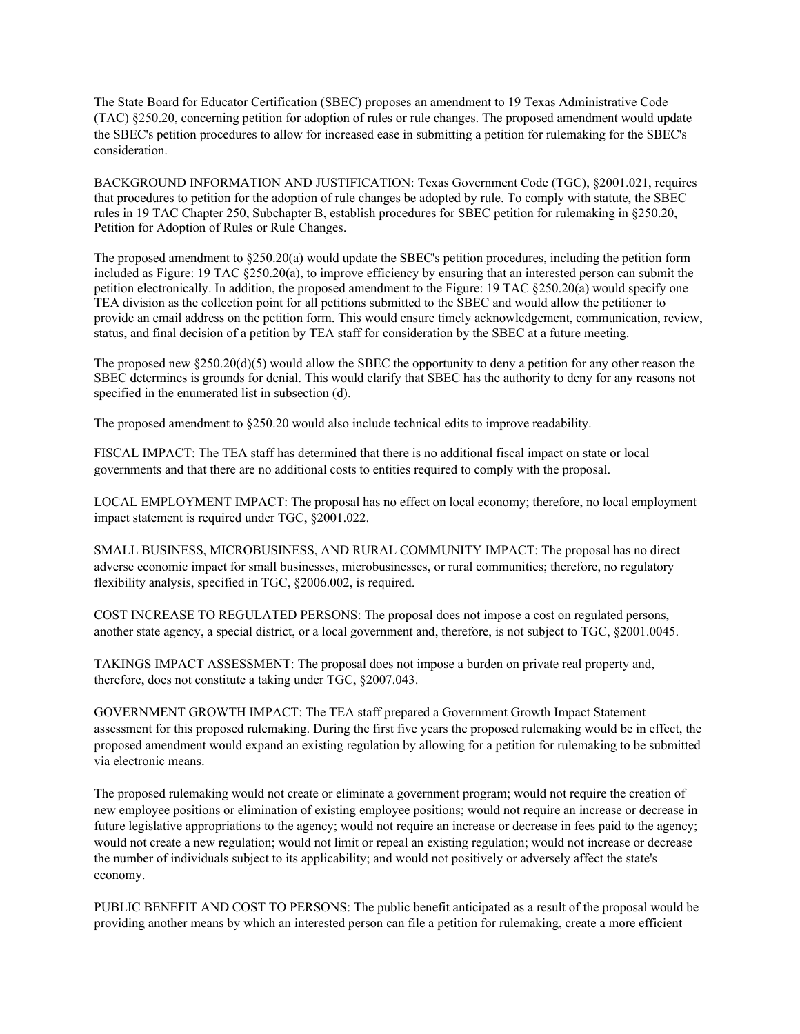The State Board for Educator Certification (SBEC) proposes an amendment to 19 Texas Administrative Code (TAC) §250.20, concerning petition for adoption of rules or rule changes. The proposed amendment would update the SBEC's petition procedures to allow for increased ease in submitting a petition for rulemaking for the SBEC's consideration.

BACKGROUND INFORMATION AND JUSTIFICATION: Texas Government Code (TGC), §2001.021, requires that procedures to petition for the adoption of rule changes be adopted by rule. To comply with statute, the SBEC rules in 19 TAC Chapter 250, Subchapter B, establish procedures for SBEC petition for rulemaking in §250.20, Petition for Adoption of Rules or Rule Changes.

The proposed amendment to §250.20(a) would update the SBEC's petition procedures, including the petition form included as Figure: 19 TAC §250.20(a), to improve efficiency by ensuring that an interested person can submit the petition electronically. In addition, the proposed amendment to the Figure: 19 TAC §250.20(a) would specify one TEA division as the collection point for all petitions submitted to the SBEC and would allow the petitioner to provide an email address on the petition form. This would ensure timely acknowledgement, communication, review, status, and final decision of a petition by TEA staff for consideration by the SBEC at a future meeting.

The proposed new  $\S 250.20(d)(5)$  would allow the SBEC the opportunity to deny a petition for any other reason the SBEC determines is grounds for denial. This would clarify that SBEC has the authority to deny for any reasons not specified in the enumerated list in subsection (d).

The proposed amendment to §250.20 would also include technical edits to improve readability.

FISCAL IMPACT: The TEA staff has determined that there is no additional fiscal impact on state or local governments and that there are no additional costs to entities required to comply with the proposal.

LOCAL EMPLOYMENT IMPACT: The proposal has no effect on local economy; therefore, no local employment impact statement is required under TGC, §2001.022.

SMALL BUSINESS, MICROBUSINESS, AND RURAL COMMUNITY IMPACT: The proposal has no direct adverse economic impact for small businesses, microbusinesses, or rural communities; therefore, no regulatory flexibility analysis, specified in TGC, §2006.002, is required.

COST INCREASE TO REGULATED PERSONS: The proposal does not impose a cost on regulated persons, another state agency, a special district, or a local government and, therefore, is not subject to TGC, §2001.0045.

TAKINGS IMPACT ASSESSMENT: The proposal does not impose a burden on private real property and, therefore, does not constitute a taking under TGC, §2007.043.

GOVERNMENT GROWTH IMPACT: The TEA staff prepared a Government Growth Impact Statement assessment for this proposed rulemaking. During the first five years the proposed rulemaking would be in effect, the proposed amendment would expand an existing regulation by allowing for a petition for rulemaking to be submitted via electronic means.

The proposed rulemaking would not create or eliminate a government program; would not require the creation of new employee positions or elimination of existing employee positions; would not require an increase or decrease in future legislative appropriations to the agency; would not require an increase or decrease in fees paid to the agency; would not create a new regulation; would not limit or repeal an existing regulation; would not increase or decrease the number of individuals subject to its applicability; and would not positively or adversely affect the state's economy.

PUBLIC BENEFIT AND COST TO PERSONS: The public benefit anticipated as a result of the proposal would be providing another means by which an interested person can file a petition for rulemaking, create a more efficient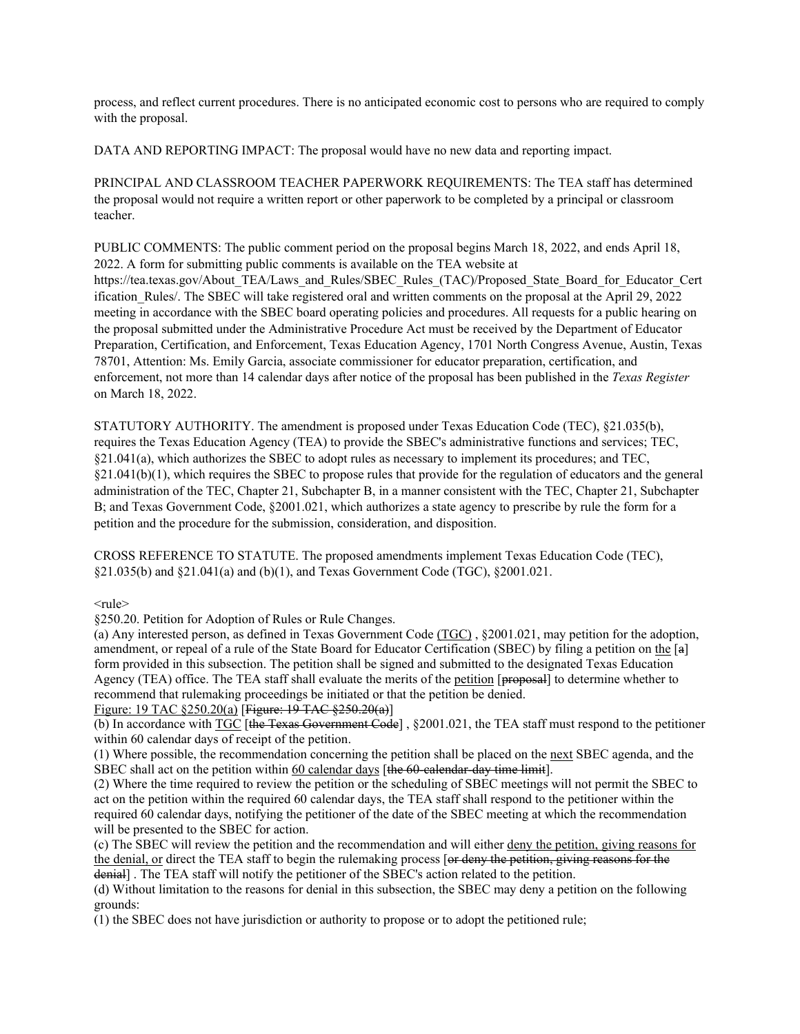process, and reflect current procedures. There is no anticipated economic cost to persons who are required to comply with the proposal.

DATA AND REPORTING IMPACT: The proposal would have no new data and reporting impact.

PRINCIPAL AND CLASSROOM TEACHER PAPERWORK REQUIREMENTS: The TEA staff has determined the proposal would not require a written report or other paperwork to be completed by a principal or classroom teacher.

PUBLIC COMMENTS: The public comment period on the proposal begins March 18, 2022, and ends April 18, 2022. A form for submitting public comments is available on the TEA website at https://tea.texas.gov/About\_TEA/Laws\_and\_Rules/SBEC\_Rules\_(TAC)/Proposed\_State\_Board\_for\_Educator\_Cert ification Rules/. The SBEC will take registered oral and written comments on the proposal at the April 29, 2022 meeting in accordance with the SBEC board operating policies and procedures. All requests for a public hearing on the proposal submitted under the Administrative Procedure Act must be received by the Department of Educator Preparation, Certification, and Enforcement, Texas Education Agency, 1701 North Congress Avenue, Austin, Texas 78701, Attention: Ms. Emily Garcia, associate commissioner for educator preparation, certification, and enforcement, not more than 14 calendar days after notice of the proposal has been published in the *Texas Register* on March 18, 2022.

STATUTORY AUTHORITY. The amendment is proposed under Texas Education Code (TEC), §21.035(b), requires the Texas Education Agency (TEA) to provide the SBEC's administrative functions and services; TEC, §21.041(a), which authorizes the SBEC to adopt rules as necessary to implement its procedures; and TEC, §21.041(b)(1), which requires the SBEC to propose rules that provide for the regulation of educators and the general administration of the TEC, Chapter 21, Subchapter B, in a manner consistent with the TEC, Chapter 21, Subchapter B; and Texas Government Code, §2001.021, which authorizes a state agency to prescribe by rule the form for a petition and the procedure for the submission, consideration, and disposition.

CROSS REFERENCE TO STATUTE. The proposed amendments implement Texas Education Code (TEC), §21.035(b) and §21.041(a) and (b)(1), and Texas Government Code (TGC), §2001.021.

<rule>

§250.20. Petition for Adoption of Rules or Rule Changes.

(a) Any interested person, as defined in Texas Government Code (TGC) , §2001.021, may petition for the adoption, amendment, or repeal of a rule of the State Board for Educator Certification (SBEC) by filing a petition on the [a] form provided in this subsection. The petition shall be signed and submitted to the designated Texas Education Agency (TEA) office. The TEA staff shall evaluate the merits of the petition [proposal] to determine whether to recommend that rulemaking proceedings be initiated or that the petition be denied.

Figure: 19 TAC §250.20(a) [Figure: 19 TAC §250.20(a)]

(b) In accordance with  $TGC$  [the Texas Government Code], §2001.021, the TEA staff must respond to the petitioner within 60 calendar days of receipt of the petition.

(1) Where possible, the recommendation concerning the petition shall be placed on the next SBEC agenda, and the SBEC shall act on the petition within 60 calendar days [the 60-calendar-day time limit].

(2) Where the time required to review the petition or the scheduling of SBEC meetings will not permit the SBEC to act on the petition within the required 60 calendar days, the TEA staff shall respond to the petitioner within the required 60 calendar days, notifying the petitioner of the date of the SBEC meeting at which the recommendation will be presented to the SBEC for action.

(c) The SBEC will review the petition and the recommendation and will either deny the petition, giving reasons for the denial, or direct the TEA staff to begin the rulemaking process [or deny the petition, giving reasons for the denial] . The TEA staff will notify the petitioner of the SBEC's action related to the petition.

(d) Without limitation to the reasons for denial in this subsection, the SBEC may deny a petition on the following grounds:

(1) the SBEC does not have jurisdiction or authority to propose or to adopt the petitioned rule;